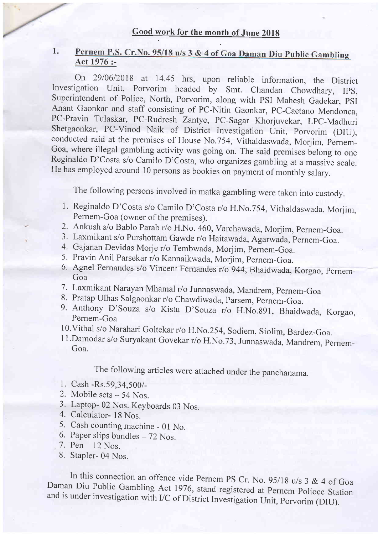#### Pernem P.S. Cr. No. 95/18 u/s 3 & 4 of Goa Daman Diu Public Gambling<br>Act 1976 :-1.

On 29/06/2018 at 14.45 hrs, upon reliable information, the District Investigation Unit, Porvorim headed by Smt. Chandan Chowdhary, IPS, Superintendent of Police, North, Porvorim, along with PSI Mahesh Gadekar, PSI Anant Gaonkar and staff consisting of PC-Nitin Gaonkar, PC-Caetano Mendonca, PC-Pravin Tulaskar, PC-Rudresh Zantye, PC-Sagar Khorjuvekar, LpC-Madhuri Shetgaonkar, PC-Vinod Naik of District Investigation Unit, porvorim (DIU), conducted raid at the premises of House No.754, Vithaldaswada, Morjim, pernem-Goa, where illegal gambling activity was going on. The said premises belong to one Reginaldo D'Costa s/o Camilo D'Costa, who organizes gambiing at a massive scale. He has employed around 10 persons as bookies on payment of monthly salary.

The following persons involved in matka gambling were taken into custody.

- 1. Reginaldo D'Costa s/o Camilo D'Costa r/o H.No.754, Vithaldaswada, Morjim, Pernem-Goa (owner of the premises).
- 2. Ankush s/o Bablo Parab r/o H.No. 460, Varchawada, Morjim, Pernem-Goa.
- 3. Laxmikant s/o Purshottam Gawde r/o Haitawada, Agarwada, Pernem-Goa.
- 4. Gajanan Devidas Morje r/o Tembwada, Morjim, pernem-Goa.
- 5. Pravin Anil Parsekar r/o Kannaikwada, Morjim, Pernem-Goa.
- 6. Agnel Fernandes s/o Vincent Fernandes r/o 944, Bhaidwada, Korgao, Pernem-Goa
- 7. Laxmikant Narayan Mhamal r/o Junnaswada, Mandrem, pernem-Goa
- 8. Pratap Ulhas Salgaonkar r/o Chawdiwada, Parsem, Pernem-Goa.
- 9. Anthony D'Souza s/o Kistu D'Souza r/o H.No.891, Bhaidwada, Korgao, Pernem-Goa
- 10. Vithal s/o Narahari Goltekar r/o H.No.254, Sodiem, Siolim, Bardez-Goa.
- <sup>I</sup>l 'Damodar s/o Suryakant Govekar r/o H.No.73, Junnaswada, Mandrem, pernem-Goa.

The following articles were attached under the panchanama.

- l. Cash -Rs.59,34,500/-
- 2. Mobile sets 54 Nos.
- 3. Laptop- 02 Nos. Keyboards 03 Nos.
- 4. Calculator- 18 Nos.
- 5. Cash counting machine 0l No.
- 6. Paper slips bundles  $-72$  Nos.
- 7. Pen 12 Nos.
- 8. Stapler- 04 Nos.

In this connection an offence vide Pernem PS Cr. No. 95/18 u/s 3 & 4 of Goa Daman Diu Public Gambling Act 1976, stand registered at Pernem Polioce Station and is under investigation with I/C of District Investigation Unit,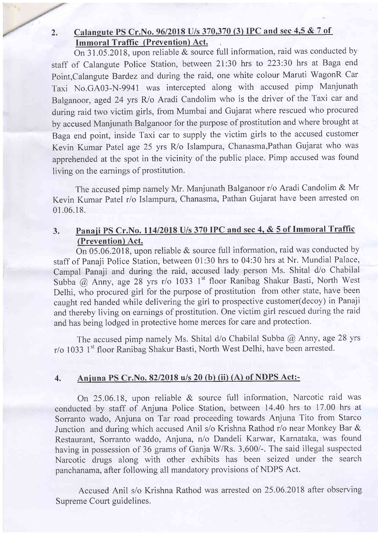### 2. Calangute PS Cr. No. 96/2018 U/s 370,370 (3) IPC and sec 4,5 & 7 of Immoral Traffic (Prevention) Act.

On  $31.05.2018$ , upon reliable & source full information, raid was conducted by staff of Calangute Police Station, between 2l:30 hrs to 223:30 hrs at Baga end Point,Calangute Bardez and during the raid, one white colour Maruti WagonR Car Taxi No.GA03-N-9941 was intercepted along with accused pimp Manjunath Balganoor, aged 24 yrs R/o Aradi Candolim who is the driver of the Taxi car and during raid two victim girls, from Mumbai and Gujarat where rescued who procured by accused Manjunath Balganoor for the purpose of prostitution and where brought at Baga end point, inside Taxi car to supply the victim girls to the accused customer Kevin Kumar Patel age 25 yrs R/o Islampura, Chanasma,Pathan Gujarat who was apprehended at the spot in the vicinity of the public place. Pimp accused was found living on the earnings of prostitution.

The accused pimp namely Mr. Manjunath Balganoor r/o Aradi Candolim & Mr Kevin Kumar Patel r/o Islampura, Chanasma, Pathan Gujarat have been arrested on 01 .06.18.

## 3. Panaji PS Cr.No. 114/2018 U/s 370 IPC and sec 4, & 5 of Immoral Traffic (Prevention) Act.

On 05.06.2018, upon reliable & source full information, raid was conducted by staff of Panaji Police Station, between 01:30 hrs to 04:30 hrs at Nr. Mundial Palace, Campal Panaji and during the raid, accused lady person Ms. Shital d/o Chabilal Subba @ Anny, age 28 yrs r/o 1033 1st floor Ranibag Shakur Basti, North West Delhi, who procured girl for the purpose of prostitution from other state, have been caught red handed while delivering the girl to prospective customer(decoy) in Panaji and thereby living on earnings of prostitution. One victim girl rescued during the raid and has being lodged in protective home merces for care and protection.

The accused pimp namely Ms. Shital  $d$ /o Chabilal Subba  $\omega$  Anny, age 28 yrs r/o 1033 1<sup>st</sup> floor Ranibag Shakur Basti, North West Delhi, have been arrested.

## 4. Aniuna PS Cr.No. 82/2018 u/s 20 (b) (ii) (A) of NDPS Act:-

On 25.06.18, upon reliable & source full information, Narcotic raid was conducted by staff of Anjuna Police Station, between 14.40 hrs to 17.00 hrs at Sorranto wado, Anjuna on Tar road proceeding towards Anjuna Tito from Starco Junction and during which accused Anil s/o Krishna Rathod r/o near Monkey Bar & Restaurant, Sorranto waddo, Anjuna, n/o Dandeli Karwar, Karnataka, was found having in possession of 36 grams of Ganja W/Rs. 3,600/-. The said illegal suspected Narcotic drugs along with other exhibits has been seized under the search panchanama, after following all mandatory provisions of NDPS Act.

Accused Anil s/o Krishna Rathod was arrested on 25.06.2018 after observins Supreme Court guidelines.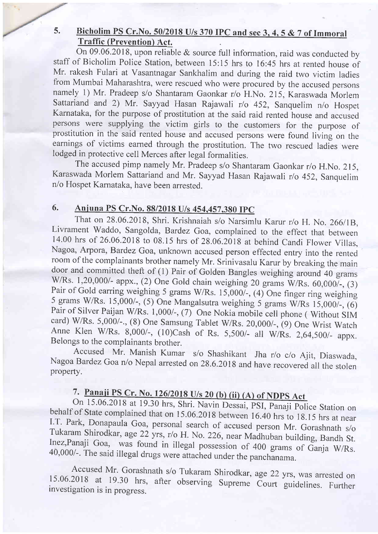#### Bicholim PS Cr. No. 50/2018 U/s 370 IPC and sec 3, 4, 5  $& 7$  of Immoral  $5.$ Traffic (Prevention) Act.

On 09.06.2018, upon reliable & source full information, raid was conducted by staff of Bicholim Police Station, between 15:15 hrs to 16:45 hrs at rented house of Mr. rakesh Fulari at Vasantnagar Sankhalim and during the raid two victim ladies from Mumbai Maharashtra, were rescued who were procured by the accused persons namely 1) Mr. Pradeep s/o Shantaram Gaonkar r/o H.No.2l5, Karaswada Morlem Sattariand and 2) Mr. Sayyad Hasan Rajawali r/o 452, Sanquelim n/o Hospet Karnataka, for the purpose of prostitution at the said raid rented house and accused persons were supplying the victim girls to the customers for the purpose of prostitution in the said rented house and accused persons were found living on the earnings of victims earned through the prostitution. The two rescued ladies were lodged in protective cell Merces after legal formalities.

The accused pimp namely Mr. Pradeep s/o Shantaram Gaonkar r/o H.No. 215, Karaswada Morlem Sattariand and Mr. Sayyad Hasan Rajawali r/o 452, Sanquelim n/o Hospet Karnataka, have been arrested.

## 6. Aniuna PS Cr.No. 88/2018 U/s 454.457.380 IpC

That on 28.06.2018, Shri. Krishnaiah s/o Narsimlu Karur r/o H. No.26611B, Livrament Waddo, Sangolda, Bardez Goa, complained to the effect that between 14.00 hrs of 26.06.2018 to 08.15 hrs of 28.06.2018 at behind Candi Flower Villas, Nagoa, Arpora, Bardez Goa, unknown accused person effected entry into the rented room of the complainants brother namely Mr. Srinivasalu Karur by breaking the main door and committed theft of (1) Pair of Golden Bangles weighing around 40 grams W/Rs. 1,20,000/- appx., (2) One Gold chain weighing 20 grams W/Rs. 60,000/-, (3) Pair of Gold earring weighing 5 grams W/Rs.  $15,000/$ -,  $(4)$  One finger ring weighing 5 grams W/Rs.  $15,000/$ -,  $(6)$ Pair of Silver Paijan W/Rs. 1,000/-, (7) One Nokia mobile cell phone (Without SIM card) W/Rs. 5,000/-., (8) One Samsung Tablet W/Rs. 20,000/-, (9) One Wrist Watch Anne Klen W/Rs. 8,000/-, (10)Cash of Rs. 5,500/- all W/Rs.

Accused Mr. Manish Kumar s/o Shashikant Jha r/o c/o Ajit, Diaswada Nagoa Bardez Goa n/o Nepal arrested on 28.6.2018 and have recovered all the stolen property.

# 7. Panaji PS Cr. No. 126/2018 U/s 20 (b) (ii) (A) of NDPS Act

On 15.06.2018 at 19.30 hrs, Shri. Navin Dessai, PSI, Panaji Police Station on behalf of State complained that on 15.06.2018 between 16.40 hrs to 18.15 hrs at near I.T. Park, Donapaula Goa, personal search of accused person Mr. Gorashnath s/o Tukaram Shirodkar, age 22 yrs, r/o H. No. 226, near Madhuban building, Bandh St. Inez, Panaji Goa, was found in illegal possession of 400 grams

Accused Mr. Gorashnath s/o Tukaram Shirodkar, age 22 yrs, was arrested on 15.06.2018 at 19.30 hrs, after observing Supreme Court guidelines. Further investigation is in progress.